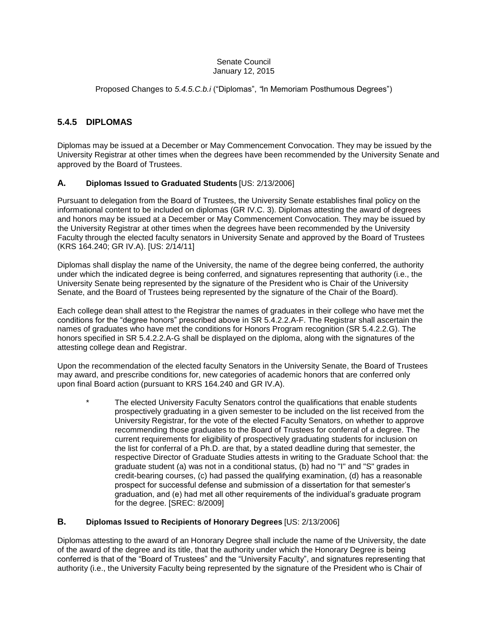#### Senate Council January 12, 2015

Proposed Changes to *5.4.5.C.b.i* ("Diplomas", *"*In Memoriam Posthumous Degrees")

# **5.4.5 DIPLOMAS**

Diplomas may be issued at a December or May Commencement Convocation. They may be issued by the University Registrar at other times when the degrees have been recommended by the University Senate and approved by the Board of Trustees.

# **A. Diplomas Issued to Graduated Students** [US: 2/13/2006]

Pursuant to delegation from the Board of Trustees, the University Senate establishes final policy on the informational content to be included on diplomas (GR IV.C. 3). Diplomas attesting the award of degrees and honors may be issued at a December or May Commencement Convocation. They may be issued by the University Registrar at other times when the degrees have been recommended by the University Faculty through the elected faculty senators in University Senate and approved by the Board of Trustees (KRS 164.240; GR IV.A). [US: 2/14/11]

Diplomas shall display the name of the University, the name of the degree being conferred, the authority under which the indicated degree is being conferred, and signatures representing that authority (i.e., the University Senate being represented by the signature of the President who is Chair of the University Senate, and the Board of Trustees being represented by the signature of the Chair of the Board).

Each college dean shall attest to the Registrar the names of graduates in their college who have met the conditions for the "degree honors" prescribed above in SR 5.4.2.2.A-F. The Registrar shall ascertain the names of graduates who have met the conditions for Honors Program recognition (SR 5.4.2.2.G). The honors specified in SR 5.4.2.2.A-G shall be displayed on the diploma, along with the signatures of the attesting college dean and Registrar.

Upon the recommendation of the elected faculty Senators in the University Senate, the Board of Trustees may award, and prescribe conditions for, new categories of academic honors that are conferred only upon final Board action (pursuant to KRS 164.240 and GR IV.A).

The elected University Faculty Senators control the qualifications that enable students prospectively graduating in a given semester to be included on the list received from the University Registrar, for the vote of the elected Faculty Senators, on whether to approve recommending those graduates to the Board of Trustees for conferral of a degree. The current requirements for eligibility of prospectively graduating students for inclusion on the list for conferral of a Ph.D. are that, by a stated deadline during that semester, the respective Director of Graduate Studies attests in writing to the Graduate School that: the graduate student (a) was not in a conditional status, (b) had no "I" and "S" grades in credit-bearing courses, (c) had passed the qualifying examination, (d) has a reasonable prospect for successful defense and submission of a dissertation for that semester's graduation, and (e) had met all other requirements of the individual's graduate program for the degree. [SREC: 8/2009]

### **B. Diplomas Issued to Recipients of Honorary Degrees** [US: 2/13/2006]

Diplomas attesting to the award of an Honorary Degree shall include the name of the University, the date of the award of the degree and its title, that the authority under which the Honorary Degree is being conferred is that of the "Board of Trustees" and the "University Faculty", and signatures representing that authority (i.e., the University Faculty being represented by the signature of the President who is Chair of